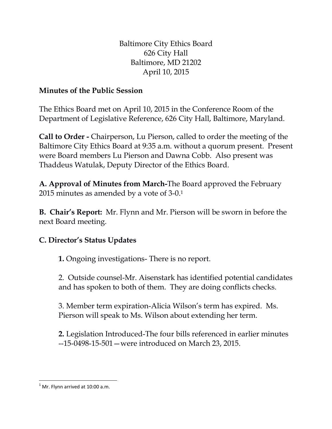Baltimore City Ethics Board 626 City Hall Baltimore, MD 21202 April 10, 2015

## **Minutes of the Public Session**

The Ethics Board met on April 10, 2015 in the Conference Room of the Department of Legislative Reference, 626 City Hall, Baltimore, Maryland.

**Call to Order -** Chairperson, Lu Pierson, called to order the meeting of the Baltimore City Ethics Board at 9:35 a.m. without a quorum present. Present were Board members Lu Pierson and Dawna Cobb. Also present was Thaddeus Watulak, Deputy Director of the Ethics Board.

**A. Approval of Minutes from March-**The Board approved the February 2015 minutes as amended by a vote of 3-0.<sup>1</sup>

**B. Chair's Report:** Mr. Flynn and Mr. Pierson will be sworn in before the next Board meeting.

## **C. Director's Status Updates**

**1.** Ongoing investigations- There is no report.

2. Outside counsel-Mr. Aisenstark has identified potential candidates and has spoken to both of them. They are doing conflicts checks.

3. Member term expiration-Alicia Wilson's term has expired. Ms. Pierson will speak to Ms. Wilson about extending her term.

**2.** Legislation Introduced-The four bills referenced in earlier minutes --15-0498-15-501—were introduced on March 23, 2015.

 $\overline{\phantom{a}}$  $<sup>1</sup>$  Mr. Flynn arrived at 10:00 a.m.</sup>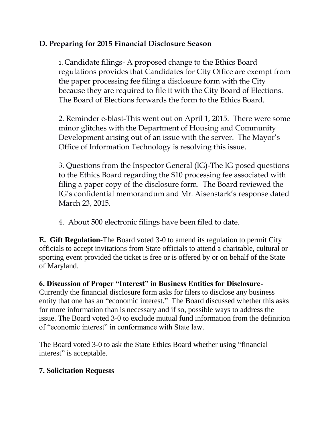## **D. Preparing for 2015 Financial Disclosure Season**

1. Candidate filings- A proposed change to the Ethics Board regulations provides that Candidates for City Office are exempt from the paper processing fee filing a disclosure form with the City because they are required to file it with the City Board of Elections. The Board of Elections forwards the form to the Ethics Board.

2. Reminder e-blast-This went out on April 1, 2015. There were some minor glitches with the Department of Housing and Community Development arising out of an issue with the server. The Mayor's Office of Information Technology is resolving this issue.

3. Questions from the Inspector General (IG)-The IG posed questions to the Ethics Board regarding the \$10 processing fee associated with filing a paper copy of the disclosure form. The Board reviewed the IG's confidential memorandum and Mr. Aisenstark's response dated March 23, 2015.

4. About 500 electronic filings have been filed to date.

**E. Gift Regulation-**The Board voted 3-0 to amend its regulation to permit City officials to accept invitations from State officials to attend a charitable, cultural or sporting event provided the ticket is free or is offered by or on behalf of the State of Maryland.

**6. Discussion of Proper "Interest" in Business Entities for Disclosure-**

Currently the financial disclosure form asks for filers to disclose any business entity that one has an "economic interest." The Board discussed whether this asks for more information than is necessary and if so, possible ways to address the issue. The Board voted 3-0 to exclude mutual fund information from the definition of "economic interest" in conformance with State law.

The Board voted 3-0 to ask the State Ethics Board whether using "financial interest" is acceptable.

## **7. Solicitation Requests**